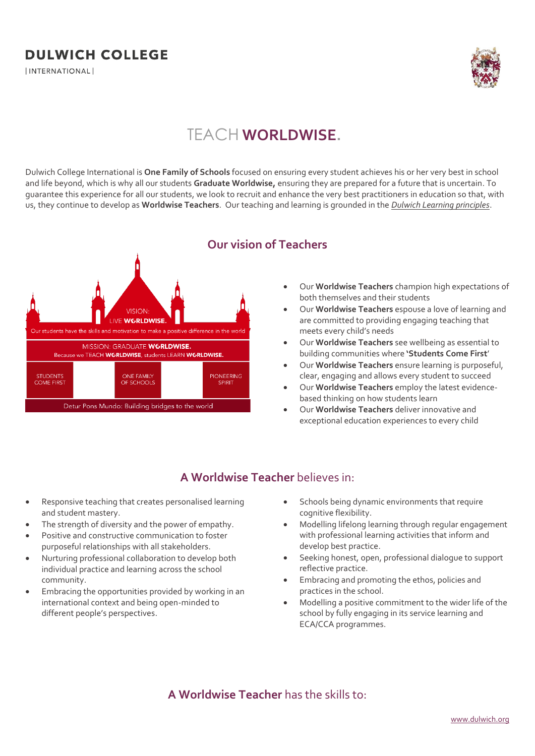## **DULWICH COLLEGE**

*INTERNATIONAL* 



# TEACH **WORLDWISE.**

Dulwich College International is **One Family of Schools** focused on ensuring every student achieves his or her very best in school and life beyond, which is why all our students **Graduate Worldwise,** ensuring they are prepared for a future that is uncertain. To guarantee this experience for all our students, we look to recruit and enhance the very best practitioners in education so that, with us, they continue to develop as **Worldwise Teachers**. Our teaching and learning is grounded in the *Dulwich Learning principles*.



#### **Our vision of Teachers**

- Our **Worldwise Teachers** champion high expectations of both themselves and their students
- Our **Worldwise Teachers** espouse a love of learning and are committed to providing engaging teaching that meets every child's needs
- Our **Worldwise Teachers** see wellbeing as essential to building communities where **'Students Come First**'
- Our **Worldwise Teachers** ensure learning is purposeful, clear, engaging and allows every student to succeed
- Our **Worldwise Teachers** employ the latest evidencebased thinking on how students learn
- Our **Worldwise Teachers** deliver innovative and exceptional education experiences to every child

#### **A Worldwise Teacher** believes in:

- Responsive teaching that creates personalised learning and student mastery.
- The strength of diversity and the power of empathy.
- Positive and constructive communication to foster purposeful relationships with all stakeholders.
- Nurturing professional collaboration to develop both individual practice and learning across the school community.
- Embracing the opportunities provided by working in an international context and being open-minded to different people's perspectives.
- Schools being dynamic environments that require cognitive flexibility.
- Modelling lifelong learning through regular engagement with professional learning activities that inform and develop best practice.
- Seeking honest, open, professional dialogue to support reflective practice.
- Embracing and promoting the ethos, policies and practices in the school.
- Modelling a positive commitment to the wider life of the school by fully engaging in its service learning and ECA/CCA programmes.

#### **A Worldwise Teacher** has the skills to: